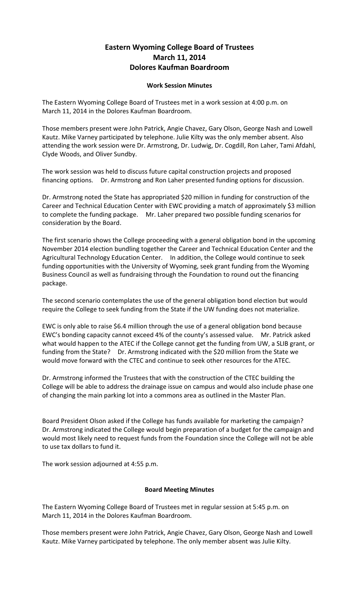## **Eastern Wyoming College Board of Trustees March 11, 2014 Dolores Kaufman Boardroom**

## **Work Session Minutes**

The Eastern Wyoming College Board of Trustees met in a work session at 4:00 p.m. on March 11, 2014 in the Dolores Kaufman Boardroom.

Those members present were John Patrick, Angie Chavez, Gary Olson, George Nash and Lowell Kautz. Mike Varney participated by telephone. Julie Kilty was the only member absent. Also attending the work session were Dr. Armstrong, Dr. Ludwig, Dr. Cogdill, Ron Laher, Tami Afdahl, Clyde Woods, and Oliver Sundby.

The work session was held to discuss future capital construction projects and proposed financing options. Dr. Armstrong and Ron Laher presented funding options for discussion.

Dr. Armstrong noted the State has appropriated \$20 million in funding for construction of the Career and Technical Education Center with EWC providing a match of approximately \$3 million to complete the funding package. Mr. Laher prepared two possible funding scenarios for consideration by the Board.

The first scenario shows the College proceeding with a general obligation bond in the upcoming November 2014 election bundling together the Career and Technical Education Center and the Agricultural Technology Education Center. In addition, the College would continue to seek funding opportunities with the University of Wyoming, seek grant funding from the Wyoming Business Council as well as fundraising through the Foundation to round out the financing package.

The second scenario contemplates the use of the general obligation bond election but would require the College to seek funding from the State if the UW funding does not materialize.

EWC is only able to raise \$6.4 million through the use of a general obligation bond because EWC's bonding capacity cannot exceed 4% of the county's assessed value. Mr. Patrick asked what would happen to the ATEC if the College cannot get the funding from UW, a SLIB grant, or funding from the State? Dr. Armstrong indicated with the \$20 million from the State we would move forward with the CTEC and continue to seek other resources for the ATEC.

Dr. Armstrong informed the Trustees that with the construction of the CTEC building the College will be able to address the drainage issue on campus and would also include phase one of changing the main parking lot into a commons area as outlined in the Master Plan.

Board President Olson asked if the College has funds available for marketing the campaign? Dr. Armstrong indicated the College would begin preparation of a budget for the campaign and would most likely need to request funds from the Foundation since the College will not be able to use tax dollars to fund it.

The work session adjourned at 4:55 p.m.

## **Board Meeting Minutes**

The Eastern Wyoming College Board of Trustees met in regular session at 5:45 p.m. on March 11, 2014 in the Dolores Kaufman Boardroom.

Those members present were John Patrick, Angie Chavez, Gary Olson, George Nash and Lowell Kautz. Mike Varney participated by telephone. The only member absent was Julie Kilty.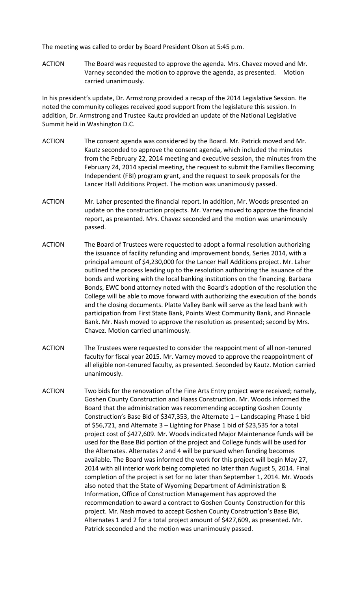The meeting was called to order by Board President Olson at 5:45 p.m.

ACTION The Board was requested to approve the agenda. Mrs. Chavez moved and Mr. Varney seconded the motion to approve the agenda, as presented. Motion carried unanimously.

In his president's update, Dr. Armstrong provided a recap of the 2014 Legislative Session. He noted the community colleges received good support from the legislature this session. In addition, Dr. Armstrong and Trustee Kautz provided an update of the National Legislative Summit held in Washington D.C.

- ACTION The consent agenda was considered by the Board. Mr. Patrick moved and Mr. Kautz seconded to approve the consent agenda, which included the minutes from the February 22, 2014 meeting and executive session, the minutes from the February 24, 2014 special meeting, the request to submit the Families Becoming Independent (FBI) program grant, and the request to seek proposals for the Lancer Hall Additions Project. The motion was unanimously passed.
- ACTION Mr. Laher presented the financial report. In addition, Mr. Woods presented an update on the construction projects. Mr. Varney moved to approve the financial report, as presented. Mrs. Chavez seconded and the motion was unanimously passed.
- ACTION The Board of Trustees were requested to adopt a formal resolution authorizing the issuance of facility refunding and improvement bonds, Series 2014, with a principal amount of \$4,230,000 for the Lancer Hall Additions project. Mr. Laher outlined the process leading up to the resolution authorizing the issuance of the bonds and working with the local banking institutions on the financing. Barbara Bonds, EWC bond attorney noted with the Board's adoption of the resolution the College will be able to move forward with authorizing the execution of the bonds and the closing documents. Platte Valley Bank will serve as the lead bank with participation from First State Bank, Points West Community Bank, and Pinnacle Bank. Mr. Nash moved to approve the resolution as presented; second by Mrs. Chavez. Motion carried unanimously.
- ACTION The Trustees were requested to consider the reappointment of all non-tenured faculty for fiscal year 2015. Mr. Varney moved to approve the reappointment of all eligible non-tenured faculty, as presented. Seconded by Kautz. Motion carried unanimously.
- ACTION Two bids for the renovation of the Fine Arts Entry project were received; namely, Goshen County Construction and Haass Construction. Mr. Woods informed the Board that the administration was recommending accepting Goshen County Construction's Base Bid of \$347,353, the Alternate 1 – Landscaping Phase 1 bid of \$56,721, and Alternate 3 – Lighting for Phase 1 bid of \$23,535 for a total project cost of \$427,609. Mr. Woods indicated Major Maintenance funds will be used for the Base Bid portion of the project and College funds will be used for the Alternates. Alternates 2 and 4 will be pursued when funding becomes available. The Board was informed the work for this project will begin May 27, 2014 with all interior work being completed no later than August 5, 2014. Final completion of the project is set for no later than September 1, 2014. Mr. Woods also noted that the State of Wyoming Department of Administration & Information, Office of Construction Management has approved the recommendation to award a contract to Goshen County Construction for this project. Mr. Nash moved to accept Goshen County Construction's Base Bid, Alternates 1 and 2 for a total project amount of \$427,609, as presented. Mr. Patrick seconded and the motion was unanimously passed.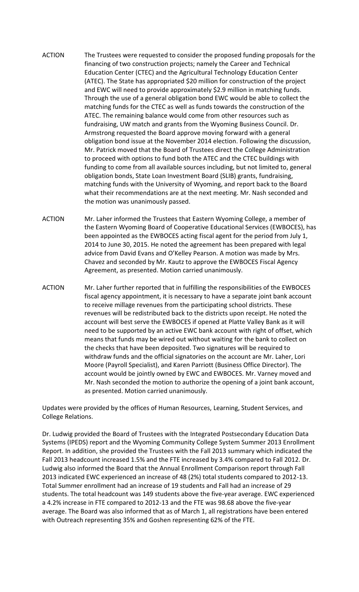- ACTION The Trustees were requested to consider the proposed funding proposals for the financing of two construction projects; namely the Career and Technical Education Center (CTEC) and the Agricultural Technology Education Center (ATEC). The State has appropriated \$20 million for construction of the project and EWC will need to provide approximately \$2.9 million in matching funds. Through the use of a general obligation bond EWC would be able to collect the matching funds for the CTEC as well as funds towards the construction of the ATEC. The remaining balance would come from other resources such as fundraising, UW match and grants from the Wyoming Business Council. Dr. Armstrong requested the Board approve moving forward with a general obligation bond issue at the November 2014 election. Following the discussion, Mr. Patrick moved that the Board of Trustees direct the College Administration to proceed with options to fund both the ATEC and the CTEC buildings with funding to come from all available sources including, but not limited to, general obligation bonds, State Loan Investment Board (SLIB) grants, fundraising, matching funds with the University of Wyoming, and report back to the Board what their recommendations are at the next meeting. Mr. Nash seconded and the motion was unanimously passed.
- ACTION Mr. Laher informed the Trustees that Eastern Wyoming College, a member of the Eastern Wyoming Board of Cooperative Educational Services (EWBOCES), has been appointed as the EWBOCES acting fiscal agent for the period from July 1, 2014 to June 30, 2015. He noted the agreement has been prepared with legal advice from David Evans and O'Kelley Pearson. A motion was made by Mrs. Chavez and seconded by Mr. Kautz to approve the EWBOCES Fiscal Agency Agreement, as presented. Motion carried unanimously.
- ACTION Mr. Laher further reported that in fulfilling the responsibilities of the EWBOCES fiscal agency appointment, it is necessary to have a separate joint bank account to receive millage revenues from the participating school districts. These revenues will be redistributed back to the districts upon receipt. He noted the account will best serve the EWBOCES if opened at Platte Valley Bank as it will need to be supported by an active EWC bank account with right of offset, which means that funds may be wired out without waiting for the bank to collect on the checks that have been deposited. Two signatures will be required to withdraw funds and the official signatories on the account are Mr. Laher, Lori Moore (Payroll Specialist), and Karen Parriott (Business Office Director). The account would be jointly owned by EWC and EWBOCES. Mr. Varney moved and Mr. Nash seconded the motion to authorize the opening of a joint bank account, as presented. Motion carried unanimously.

Updates were provided by the offices of Human Resources, Learning, Student Services, and College Relations.

Dr. Ludwig provided the Board of Trustees with the Integrated Postsecondary Education Data Systems (IPEDS) report and the Wyoming Community College System Summer 2013 Enrollment Report. In addition, she provided the Trustees with the Fall 2013 summary which indicated the Fall 2013 headcount increased 1.5% and the FTE increased by 3.4% compared to Fall 2012. Dr. Ludwig also informed the Board that the Annual Enrollment Comparison report through Fall 2013 indicated EWC experienced an increase of 48 (2%) total students compared to 2012-13. Total Summer enrollment had an increase of 19 students and Fall had an increase of 29 students. The total headcount was 149 students above the five-year average. EWC experienced a 4.2% increase in FTE compared to 2012-13 and the FTE was 98.68 above the five-year average. The Board was also informed that as of March 1, all registrations have been entered with Outreach representing 35% and Goshen representing 62% of the FTE.